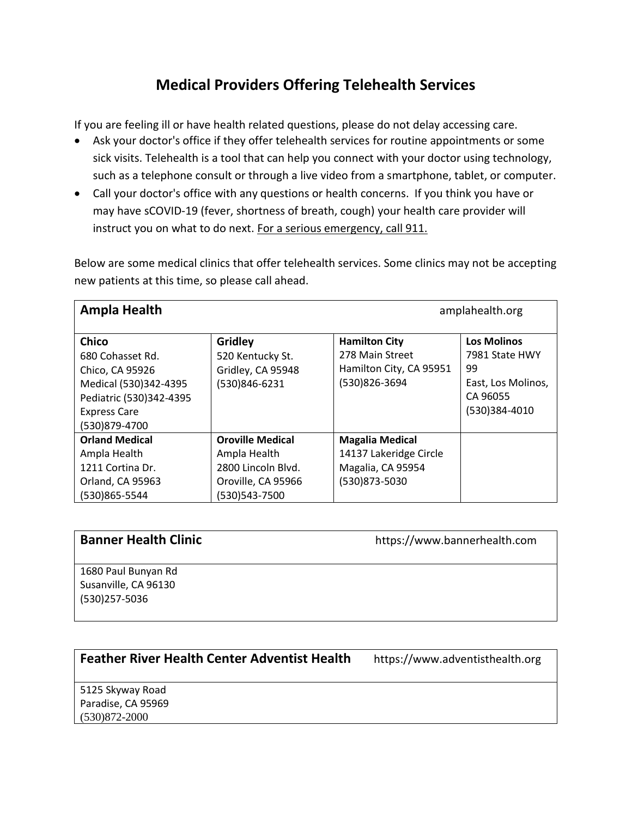# **Medical Providers Offering Telehealth Services**

If you are feeling ill or have health related questions, please do not delay accessing care.

- Ask your doctor's office if they offer telehealth services for routine appointments or some sick visits. Telehealth is a tool that can help you connect with your doctor using technology, such as a telephone consult or through a live video from a smartphone, tablet, or computer.
- Call your doctor's office with any questions or health concerns. If you think you have or may have sCOVID-19 (fever, shortness of breath, cough) your health care provider will instruct you on what to do next. For a serious emergency, call 911.

Below are some medical clinics that offer telehealth services. Some clinics may not be accepting new patients at this time, so please call ahead.

| <b>Ampla Health</b>                                                                                                                             |                                                                                                      | amplahealth.org                                                                        |                                                                                               |
|-------------------------------------------------------------------------------------------------------------------------------------------------|------------------------------------------------------------------------------------------------------|----------------------------------------------------------------------------------------|-----------------------------------------------------------------------------------------------|
| <b>Chico</b><br>680 Cohasset Rd.<br>Chico, CA 95926<br>Medical (530)342-4395<br>Pediatric (530)342-4395<br><b>Express Care</b><br>(530)879-4700 | <b>Gridley</b><br>520 Kentucky St.<br>Gridley, CA 95948<br>(530)846-6231                             | <b>Hamilton City</b><br>278 Main Street<br>Hamilton City, CA 95951<br>(530)826-3694    | <b>Los Molinos</b><br>7981 State HWY<br>99<br>East, Los Molinos,<br>CA 96055<br>(530)384-4010 |
| <b>Orland Medical</b><br>Ampla Health<br>1211 Cortina Dr.<br>Orland, CA 95963<br>(530)865-5544                                                  | <b>Oroville Medical</b><br>Ampla Health<br>2800 Lincoln Blvd.<br>Oroville, CA 95966<br>(530)543-7500 | <b>Magalia Medical</b><br>14137 Lakeridge Circle<br>Magalia, CA 95954<br>(530)873-5030 |                                                                                               |

| <b>Banner Health Clinic</b> | https://www.bannerhealth.com |
|-----------------------------|------------------------------|
| 1680 Paul Bunyan Rd         |                              |

lui bunyan Rd Susanville, CA 96130 (530)257-5036

### **Feather River Health Center Adventist Health** https://www.adventisthealth.org

5125 Skyway Road Paradise, CA 95969 (530)872-2000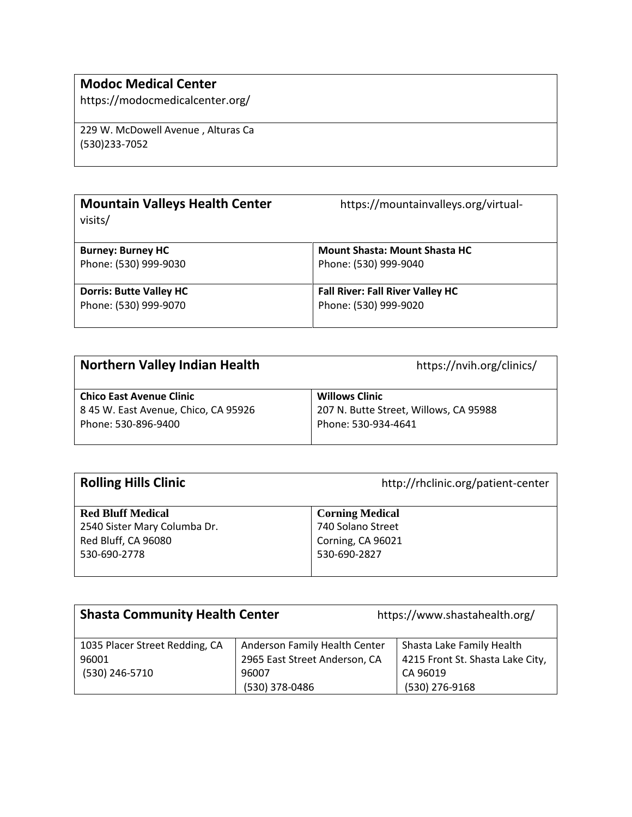# **Modoc Medical Center**

https://modocmedicalcenter.org/

229 W. McDowell Avenue , Alturas Ca (530)233-7052

| <b>Mountain Valleys Health Center</b><br>visits/ | https://mountainvalleys.org/virtual-    |  |
|--------------------------------------------------|-----------------------------------------|--|
| <b>Burney: Burney HC</b>                         | <b>Mount Shasta: Mount Shasta HC</b>    |  |
| Phone: (530) 999-9030                            | Phone: (530) 999-9040                   |  |
| <b>Dorris: Butte Valley HC</b>                   | <b>Fall River: Fall River Valley HC</b> |  |
| Phone: (530) 999-9070                            | Phone: (530) 999-9020                   |  |

| <b>Northern Valley Indian Health</b>                                                           | https://nvih.org/clinics/                                                              |
|------------------------------------------------------------------------------------------------|----------------------------------------------------------------------------------------|
| <b>Chico East Avenue Clinic</b><br>8 45 W. East Avenue, Chico, CA 95926<br>Phone: 530-896-9400 | <b>Willows Clinic</b><br>207 N. Butte Street, Willows, CA 95988<br>Phone: 530-934-4641 |
|                                                                                                |                                                                                        |

| <b>Rolling Hills Clinic</b>  | http://rhclinic.org/patient-center |
|------------------------------|------------------------------------|
| <b>Red Bluff Medical</b>     | <b>Corning Medical</b>             |
| 2540 Sister Mary Columba Dr. | 740 Solano Street                  |
| Red Bluff, CA 96080          | Corning, CA 96021                  |
| 530-690-2778                 | 530-690-2827                       |

| <b>Shasta Community Health Center</b>   |                                                                | https://www.shastahealth.org/                                 |  |
|-----------------------------------------|----------------------------------------------------------------|---------------------------------------------------------------|--|
| 1035 Placer Street Redding, CA<br>96001 | Anderson Family Health Center<br>2965 East Street Anderson, CA | Shasta Lake Family Health<br>4215 Front St. Shasta Lake City, |  |
| (530) 246-5710                          | 96007                                                          | CA 96019                                                      |  |
|                                         | (530) 378-0486                                                 | (530) 276-9168                                                |  |